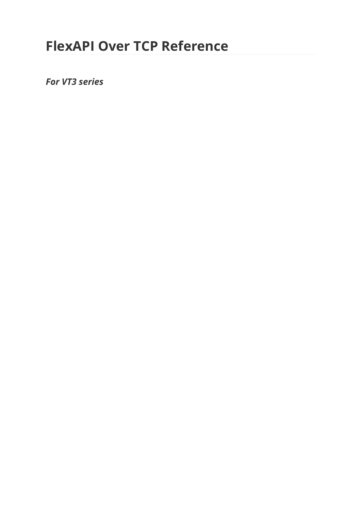# **FlexAPI Over TCP Reference**

*For VT3 series*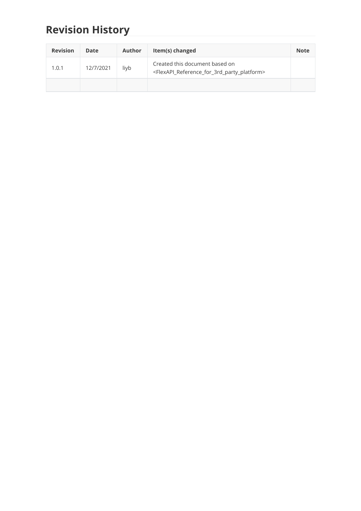# **Revision History**

| <b>Revision</b> | <b>Date</b> | Author | Item(s) changed                                                                                                         | <b>Note</b> |
|-----------------|-------------|--------|-------------------------------------------------------------------------------------------------------------------------|-------------|
| 1.0.1           | 12/7/2021   | liyb   | Created this document based on<br><flexapi_reference_for_3rd_party_platform></flexapi_reference_for_3rd_party_platform> |             |
|                 |             |        |                                                                                                                         |             |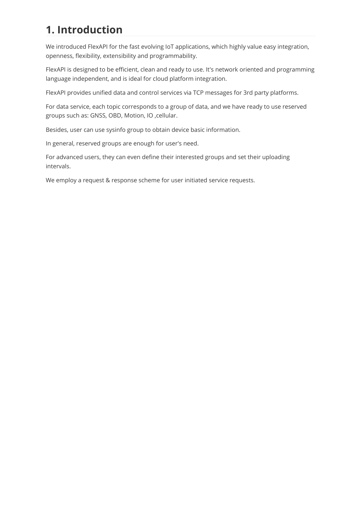# **1. Introduction**

We introduced FlexAPI for the fast evolving IoT applications, which highly value easy integration, openness, flexibility, extensibility and programmability.

FlexAPI is designed to be efficient, clean and ready to use. It's network oriented and programming language independent, and is ideal for cloud platform integration.

FlexAPI provides unified data and control services via TCP messages for 3rd party platforms.

For data service, each topic corresponds to a group of data, and we have ready to use reserved groups such as: GNSS, OBD, Motion, IO ,cellular.

Besides, user can use sysinfo group to obtain device basic information.

In general, reserved groups are enough for user's need.

For advanced users, they can even define their interested groups and set their uploading intervals.

We employ a request & response scheme for user initiated service requests.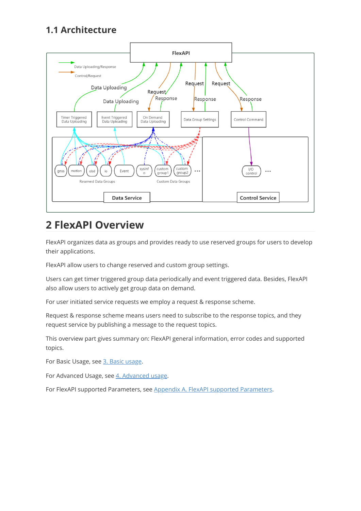## **1.1 Architecture**



## **2 FlexAPI Overview**

FlexAPI organizes data as groups and provides ready to use reserved groups for users to develop their applications.

FlexAPI allow users to change reserved and custom group settings.

Users can get timer triggered group data periodically and event triggered data. Besides, FlexAPI also allow users to actively get group data on demand.

For user initiated service requests we employ a request & response scheme.

Request & response scheme means users need to subscribe to the response topics, and they request service by publishing a message to the request topics.

This overview part gives summary on: FlexAPI general information, error codes and supported topics.

For Basic Usage, see [3. Basic usage.](#page-7-0)

For Advanced Usage, see [4. Advanced usage.](#page-27-0)

For FlexAPI supported Parameters, see [Appendix A. FlexAPI supported Parameters](#page-37-0).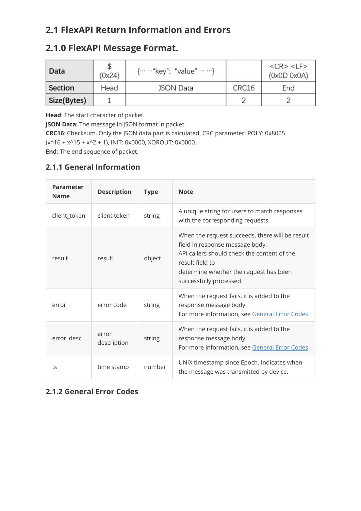## **2.1 FlexAPI Return Information and Errors**

## **2.1.0 FlexAPI Message Format.**

| Data        | (0x24) | $\{\cdots$ ""key": "value" $\cdots$ "} |       | $<$ CR $>$ $<$ LF $>$<br>(0x0D 0x0A) |
|-------------|--------|----------------------------------------|-------|--------------------------------------|
| Section     | Head   | <b>JSON Data</b>                       | CRC16 | End                                  |
| Size(Bytes) |        |                                        |       |                                      |

**Head**: The start character of packet.

**JSON Data**: The message in JSON format in packet.

**CRC16**: Checksum, Only the JSON data part is calculated. CRC parameter: POLY: 0x8005 (x^16 + x^15 + x^2 + 1), INIT: 0x0000, XOROUT: 0x0000.

**End**: The end sequence of packet.

## <span id="page-4-1"></span>**2.1.1 General Information**

| <b>Parameter</b><br><b>Name</b> | <b>Description</b>   | <b>Type</b> | <b>Note</b>                                                                                                                                                                                                               |
|---------------------------------|----------------------|-------------|---------------------------------------------------------------------------------------------------------------------------------------------------------------------------------------------------------------------------|
| client_token                    | client token         | string      | A unique string for users to match responses<br>with the corresponding requests.                                                                                                                                          |
| result                          | result               | object      | When the request succeeds, there will be result<br>field in response message body.<br>API callers should check the content of the<br>result field to<br>determine whether the request has been<br>successfully processed. |
| error                           | error code           | string      | When the request fails, it is added to the<br>response message body.<br>For more information, see General Error Codes                                                                                                     |
| error_desc                      | error<br>description | string      | When the request fails, it is added to the<br>response message body.<br>For more information, see General Error Codes                                                                                                     |
| ts                              | time stamp           | number      | UNIX timestamp since Epoch. Indicates when<br>the message was transmitted by device.                                                                                                                                      |

## <span id="page-4-0"></span>**2.1.2 General Error Codes**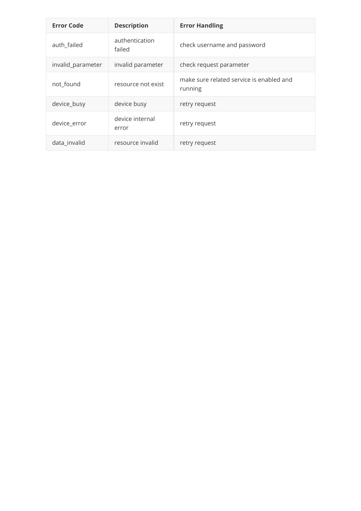| <b>Error Code</b> | <b>Description</b>       | <b>Error Handling</b>                               |
|-------------------|--------------------------|-----------------------------------------------------|
| auth_failed       | authentication<br>failed | check username and password                         |
| invalid_parameter | invalid parameter        | check request parameter                             |
| not_found         | resource not exist       | make sure related service is enabled and<br>running |
| device_busy       | device busy              | retry request                                       |
| device_error      | device internal<br>error | retry request                                       |
| data invalid      | resource invalid         | retry request                                       |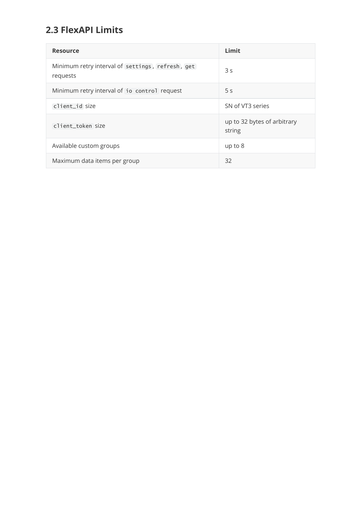## **2.3 FlexAPI Limits**

| <b>Resource</b>                                              | Limit                                 |
|--------------------------------------------------------------|---------------------------------------|
| Minimum retry interval of settings, refresh, get<br>requests | 3s                                    |
| Minimum retry interval of io control request                 | 5 <sub>s</sub>                        |
| client_id size                                               | SN of VT3 series                      |
| client token size                                            | up to 32 bytes of arbitrary<br>string |
| Available custom groups                                      | up to 8                               |
| Maximum data items per group                                 | 32                                    |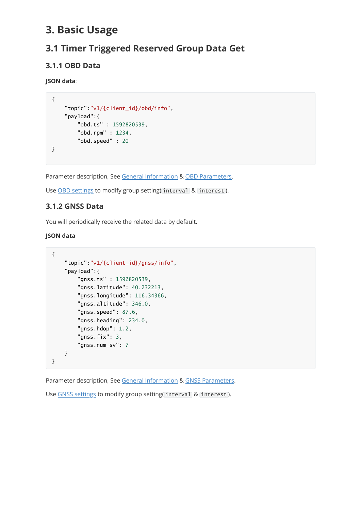## <span id="page-7-0"></span>**3. Basic Usage**

## **3.1 Timer Triggered Reserved Group Data Get**

## **3.1.1 OBD Data**

**JSON data**:

```
{
    "topic":"v1/{client_id}/obd/info",
    "payload":{
        "obd.ts" : 1592820539,
        "obd.rpm" : 1234,
        "obd.speed" : 20
}
```
Parameter description, See [General Information](#page-4-1) & [OBD Parameters](#page-40-0).

Use [OBD settings](#page-15-0) to modify group setting (interval & interest).

## **3.1.2 GNSS Data**

You will periodically receive the related data by default.

### **JSON data**

```
{
    "topic":"v1/{client_id}/gnss/info",
    "payload":{
        "gnss.ts" : 1592820539,
        "gnss.latitude": 40.232213,
        "gnss.longitude": 116.34366,
        "gnss.altitude": 346.0,
        "gnss.speed": 87.6,
        "gnss.heading": 234.0,
        "gnss.hdop": 1.2,
        "gnss.fix": 3,
        "gnss.num_sv": 7
   }
}
```
Parameter description, See [General Information](#page-4-1) & [GNSS Parameters](#page-37-1).

Use [GNSS settings](#page-16-0) to modify group setting (interval & interest).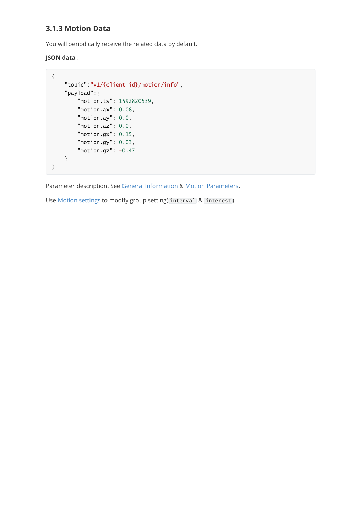## **3.1.3 Motion Data**

You will periodically receive the related data by default.

### **JSON data**:

```
{
    "topic":"v1/{client_id}/motion/info",
   "payload":{
        "motion.ts": 1592820539,
        "motion.ax": 0.08,
        "motion.ay": 0.0,
        "motion.az": 0.0,
        "motion.gx": 0.15,
        "motion.gy": 0.03,
        "motion.gz": -0.47
    }
}
```
Parameter description, See [General Information](#page-4-1) & [Motion Parameters.](#page-38-0)

Use **Motion settings** to modify group setting(interval & interest).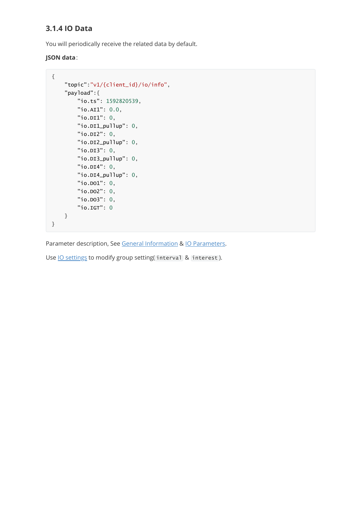## **3.1.4 IO Data**

You will periodically receive the related data by default.

### **JSON data**:

```
{
    "topic":"v1/{client_id}/io/info",
   "payload":{
       "io.ts": 1592820539,
        "io.AI1": 0.0,
        "io.DI1": 0,
        "io.DI1_pullup": 0,
        "io.DI2": 0,
        "io.DI2_pullup": 0,
        "io.DI3": 0,
        "io.DI3_pullup": 0,
        "io.DI4": 0,
        "io.DI4_pullup": 0,
        "io.DO1": 0,
        "io.DO2": 0,
        "io.DO3": 0,
        "io.IGT": 0
   }
}
```
Parameter description, See [General Information](#page-4-1) & [IO Parameters](#page-39-0).

Use **IO** settings to modify group setting( interval & interest).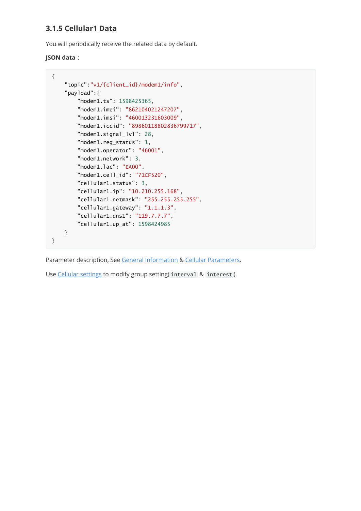## **3.1.5 Cellular1 Data**

You will periodically receive the related data by default.

### **JSON data** :

```
{
    "topic":"v1/{client_id}/modem1/info",
    "payload":{
        "modem1.ts": 1598425365,
        "modem1.imei": "862104021247207",
        "modem1.imsi": "460013231603009",
        "modem1.iccid": "89860118802836799717",
        "modem1.signal_lvl": 28,
        "modem1.reg_status": 1,
        "modem1.operator": "46001",
        "modem1.network": 3,
        "modem1.lac": "EA00",
        "modem1.cell_id": "71CF520",
        "cellular1.status": 3,
        "cellular1.ip": "10.210.255.168",
        "cellular1.netmask": "255.255.255.255",
        "cellular1.gateway": "1.1.1.3",
        "cellular1.dns1": "119.7.7.7",
        "cellular1.up_at": 1598424985
   }
}
```
Parameter description, See [General Information](#page-4-1) & [Cellular Parameters](#page-43-0).

Use [Cellular settings](#page-19-0) to modify group setting( interval & interest).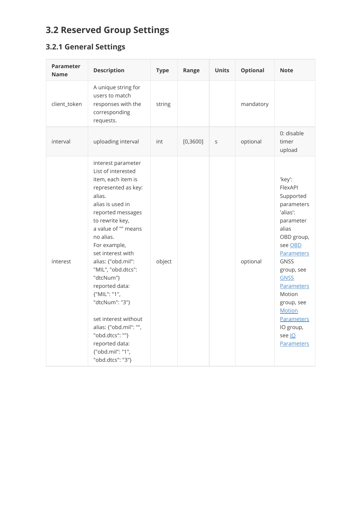# **3.2 Reserved Group Settings**

## **3.2.1 General Settings**

<span id="page-11-0"></span>

| <b>Parameter</b><br><b>Name</b> | <b>Description</b>                                                                                                                                                                                                                                                                                                                                                                                                                                                               | <b>Type</b> | Range     | <b>Units</b> | <b>Optional</b> | <b>Note</b>                                                                                                                                                                                                                                                                                      |
|---------------------------------|----------------------------------------------------------------------------------------------------------------------------------------------------------------------------------------------------------------------------------------------------------------------------------------------------------------------------------------------------------------------------------------------------------------------------------------------------------------------------------|-------------|-----------|--------------|-----------------|--------------------------------------------------------------------------------------------------------------------------------------------------------------------------------------------------------------------------------------------------------------------------------------------------|
| client_token                    | A unique string for<br>users to match<br>responses with the<br>corresponding<br>requests.                                                                                                                                                                                                                                                                                                                                                                                        | string      |           |              | mandatory       |                                                                                                                                                                                                                                                                                                  |
| interval                        | uploading interval                                                                                                                                                                                                                                                                                                                                                                                                                                                               | int         | [0, 3600] | S            | optional        | 0: disable<br>timer<br>upload                                                                                                                                                                                                                                                                    |
| interest                        | interest parameter<br>List of interested<br>item, each item is<br>represented as key:<br>alias.<br>alias is used in<br>reported messages<br>to rewrite key,<br>a value of "" means<br>no alias.<br>For example,<br>set interest with<br>alias: {"obd.mil":<br>"MIL", "obd.dtcs":<br>"dtcNum"}<br>reported data:<br>{"MIL": "1",<br>"dtcNum": "3"}<br>set interest without<br>alias: {"obd.mil": "",<br>"obd.dtcs": ""}<br>reported data:<br>{"obd.mil": "1",<br>"obd.dtcs": "3"} | object      |           |              | optional        | 'key':<br>FlexAPI<br>Supported<br>parameters<br>'alias':<br>parameter<br>alias<br>OBD group,<br>see OBD<br><b>Parameters</b><br><b>GNSS</b><br>group, see<br><b>GNSS</b><br><b>Parameters</b><br>Motion<br>group, see<br><b>Motion</b><br>Parameters<br>IO group,<br>see lo<br><b>Parameters</b> |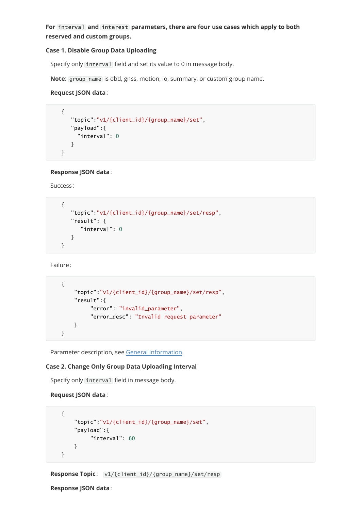**For** interval **and** interest **parameters, there are four use cases which apply to both reserved and custom groups.**

#### **Case 1. Disable Group Data Uploading**

Specify only interval field and set its value to 0 in message body.

**Note**: group\_name is obd, gnss, motion, io, summary, or custom group name.

#### **Request JSON data**:

```
{
   "topic":"v1/{client_id}/{group_name}/set",
  "payload":{
    "interval": 0
   }
}
```
### **Response JSON data**:

Success:

```
{
   "topic":"v1/{client_id}/{group_name}/set/resp",
   "result": {
      "interval": 0
   }
}
```
Failure:

```
{
    "topic":"v1/{client_id}/{group_name}/set/resp",
    "result":{
         "error": "invalid_parameter",
         "error_desc": "Invalid request parameter"
    }
}
```
Parameter description, see [General Information.](#page-4-1)

### **Case 2. Change Only Group Data Uploading Interval**

Specify only interval field in message body.

```
 Request JSON data:
```

```
{
    "topic":"v1/{client_id}/{group_name}/set",
   "payload":{
        "interval": 60
   }
}
```
**Response Topic**: v1/{client\_id}/{group\_name}/set/resp

**Response JSON data**: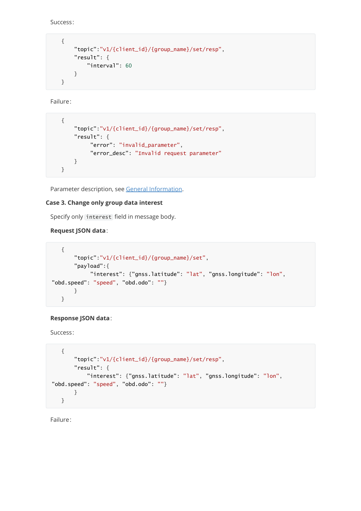Success:

```
{
    "topic":"v1/{client_id}/{group_name}/set/resp",
    "result": {
        "interval": 60
    }
}
```
Failure:

```
{
    "topic":"v1/{client_id}/{group_name}/set/resp",
    "result": {
         "error": "invalid_parameter",
         "error_desc": "Invalid request parameter"
    }
}
```
Parameter description, see [General Information.](#page-4-1)

### **Case 3. Change only group data interest**

Specify only interest field in message body.

### **Request JSON data**:

```
{
       "topic":"v1/{client_id}/{group_name}/set",
      "payload":{
            "interest": {"gnss.latitude": "lat", "gnss.longitude": "lon",
"obd.speed": "speed", "obd.odo": ""}
      }
  }
```
### **Response JSON data**:

Success:

```
{
      "topic":"v1/{client_id}/{group_name}/set/resp",
      "result": {
          "interest": {"gnss.latitude": "lat", "gnss.longitude": "lon",
"obd.speed": "speed", "obd.odo": ""}
      }
  }
```
Failure: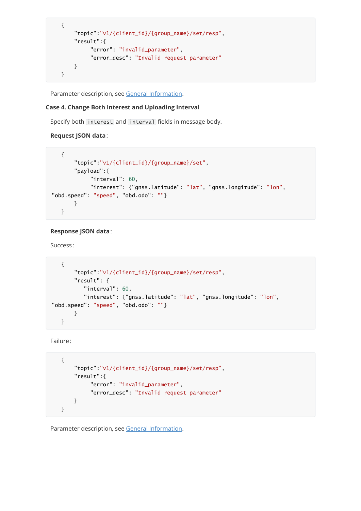```
{
    "topic":"v1/{client_id}/{group_name}/set/resp",
    "result":{
         "error": "invalid_parameter",
         "error_desc": "Invalid request parameter"
    }
}
```
Parameter description, see [General Information.](#page-4-1)

#### **Case 4. Change Both Interest and Uploading Interval**

Specify both interest and interval fields in message body.

#### **Request JSON data**:

```
{
      "topic":"v1/{client_id}/{group_name}/set",
      "payload":{
            "interval": 60,
            "interest": {"gnss.latitude": "lat", "gnss.longitude": "lon",
"obd.speed": "speed", "obd.odo": ""}
      }
  }
```
#### **Response JSON data**:

Success:

```
{
       "topic":"v1/{client_id}/{group_name}/set/resp",
      "result": {
         "interval": 60,
         "interest": {"gnss.latitude": "lat", "gnss.longitude": "lon",
"obd.speed": "speed", "obd.odo": ""}
      }
  }
```
Failure:

```
{
    "topic":"v1/{client_id}/{group_name}/set/resp",
   "result":{
         "error": "invalid_parameter",
         "error_desc": "Invalid request parameter"
   }
}
```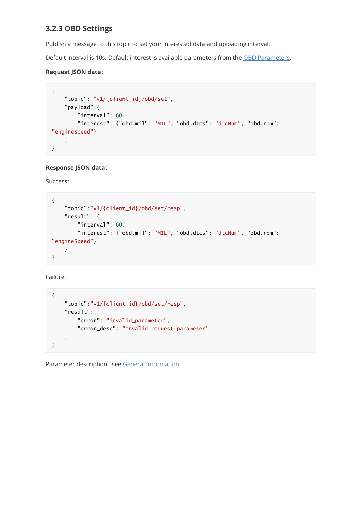## <span id="page-15-0"></span>**3.2.3 OBD Settings**

Publish a message to this topic to set your interested data and uploading interval.

Default interval is 10s. Default interest is available parameters from the [OBD Parameters.](#page-40-0)

#### **Request JSON data**:

```
{
   "topic": "v1/{client_id}/obd/set",
   "payload":{
       "interval": 60,
        "interest": {"obd.mil": "MIL", "obd.dtcs": "dtcNum", "obd.rpm":
"engineSpeed"}
   }
}
```
### **Response JSON data**:

Success:

```
{
   "topic":"v1/{client_id}/obd/set/resp",
   "result": {
        "interval": 60,
        "interest": {"obd.mil": "MIL", "obd.dtcs": "dtcNum", "obd.rpm":
"engineSpeed"}
   }
}
```
Failure:

```
{
   "topic":"v1/{client_id}/obd/set/resp",
   "result":{
        "error": "invalid_parameter",
       "error_desc": "Invalid request parameter"
   }
}
```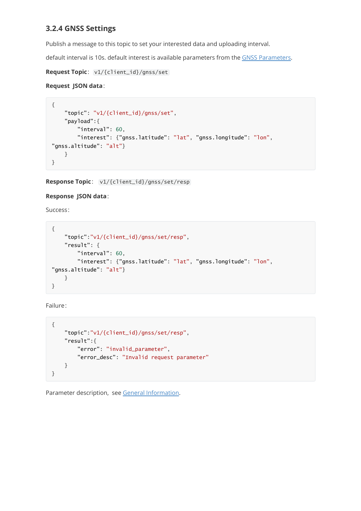## <span id="page-16-0"></span>**3.2.4 GNSS Settings**

Publish a message to this topic to set your interested data and uploading interval.

default interval is 10s. default interest is available parameters from the [GNSS Parameters.](#page-37-1)

**Request Topic**: v1/{client\_id}/gnss/set

### **Request JSON data**:

```
{
   "topic": "v1/{client_id}/gnss/set",
   "payload":{
        "interval": 60,
        "interest": {"gnss.latitude": "lat", "gnss.longitude": "lon",
"gnss.altitude": "alt"}
   }
}
```
**Response Topic**: v1/{client\_id}/gnss/set/resp

#### **Response JSON data**:

Success:

```
{
   "topic":"v1/{client_id}/gnss/set/resp",
    "result": {
       "interval": 60,
        "interest": {"gnss.latitude": "lat", "gnss.longitude": "lon",
"gnss.altitude": "alt"}
   }
}
```
Failure:

```
{
    "topic":"v1/{client_id}/gnss/set/resp",
    "result":{
        "error": "invalid_parameter",
        "error_desc": "Invalid request parameter"
    }
}
```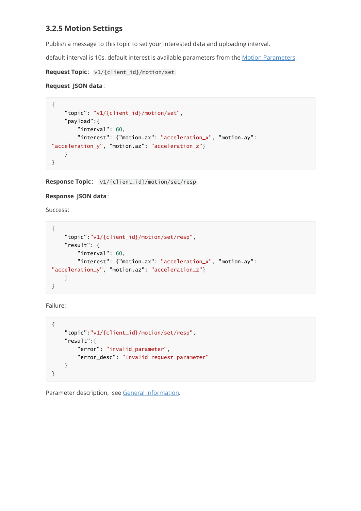## <span id="page-17-0"></span>**3.2.5 Motion Settings**

Publish a message to this topic to set your interested data and uploading interval.

default interval is 10s. default interest is available parameters from the [Motion Parameters](#page-38-0).

**Request Topic**: v1/{client\_id}/motion/set

### **Request JSON data**:

```
{
   "topic": "v1/{client_id}/motion/set",
   "payload":{
        "interval": 60,
        "interest": {"motion.ax": "acceleration_x", "motion.ay":
"acceleration_y", "motion.az": "acceleration_z"}
   }
}
```
**Response Topic**: v1/{client\_id}/motion/set/resp

### **Response JSON data**:

Success:

```
{
   "topic":"v1/{client_id}/motion/set/resp",
    "result": {
       "interval": 60,
        "interest": {"motion.ax": "acceleration_x", "motion.ay":
"acceleration_y", "motion.az": "acceleration_z"}
   }
}
```
Failure:

```
{
    "topic":"v1/{client_id}/motion/set/resp",
    "result":{
        "error": "invalid_parameter",
        "error_desc": "Invalid request parameter"
    }
}
```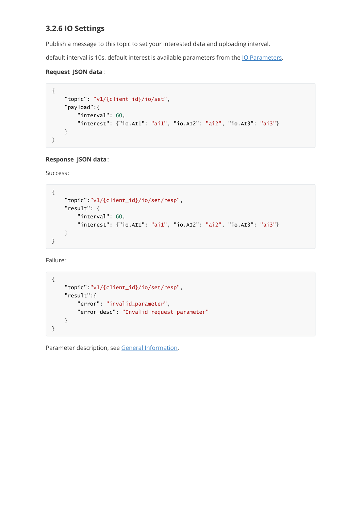## <span id="page-18-0"></span>**3.2.6 IO Settings**

Publish a message to this topic to set your interested data and uploading interval.

default interval is 10s. default interest is available parameters from the [IO Parameters.](#page-39-0)

### **Request JSON data**:

```
{
    "topic": "v1/{client_id}/io/set",
    "payload":{
        "interval": 60,
        "interest": {"io.AI1": "ai1", "io.AI2": "ai2", "io.AI3": "ai3"}
    }
}
```
### **Response JSON data**:

Success:

```
{
    "topic":"v1/{client_id}/io/set/resp",
    "result": {
        "interval": 60,
        "interest": {"io.AI1": "ai1", "io.AI2": "ai2", "io.AI3": "ai3"}
    }
}
```
Failure:

```
{
    "topic":"v1/{client_id}/io/set/resp",
    "result":{
        "error": "invalid_parameter",
        "error_desc": "Invalid request parameter"
    }
}
```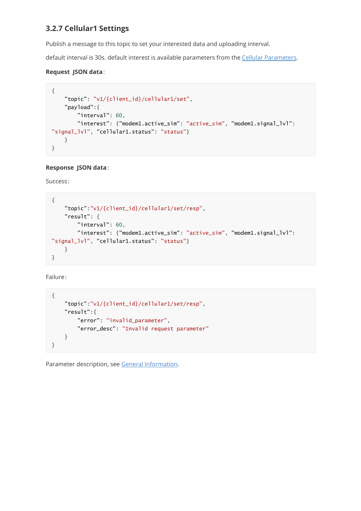## <span id="page-19-0"></span>**3.2.7 Cellular1 Settings**

Publish a message to this topic to set your interested data and uploading interval.

default interval is 30s. default interest is available parameters from the [Cellular Parameters](#page-43-0).

### **Request JSON data**:

```
{
    "topic": "v1/{client_id}/cellular1/set",
   "payload":{
        "interval": 60,
        "interest": {"modem1.active_sim": "active_sim", "modem1.signal_lvl":
"signal_lvl", "cellular1.status": "status"}
   }
}
```
### **Response JSON data**:

Success:

```
{
   "topic":"v1/{client_id}/cellular1/set/resp",
   "result": {
        "interval": 60,
        "interest": {"modem1.active_sim": "active_sim", "modem1.signal_lvl":
"signal_lvl", "cellular1.status": "status"}
   }
}
```
Failure:

```
{
    "topic":"v1/{client_id}/cellular1/set/resp",
   "result":{
        "error": "invalid_parameter",
       "error_desc": "Invalid request parameter"
   }
}
```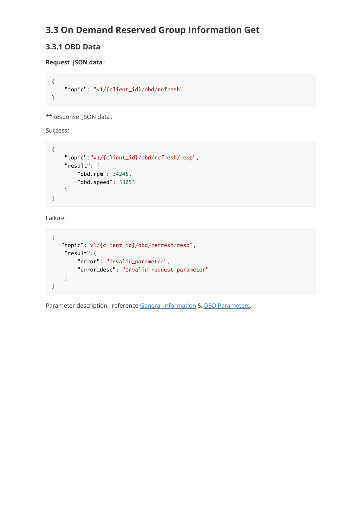## **3.3 On Demand Reserved Group Information Get**

## **3.3.1 OBD Data**

**Request JSON data**:

```
{
    "topic": "v1/{client_id}/obd/refresh"
}
```
\*\*Response JSON data:

Success:

```
{
    "topic":"v1/{client_id}/obd/refresh/resp",
    "result": {
        "obd.rpm": 34245,
        "obd.speed": 53255
   }
}
```
Failure:

```
{
   "topic":"v1/{client_id}/obd/refresh/resp",
   "result":{
       "error": "invalid_parameter",
        "error_desc": "Invalid request parameter"
   }
}
```
Parameter description, reference [General Information](#page-4-1) & [OBD Parameters](#page-40-0).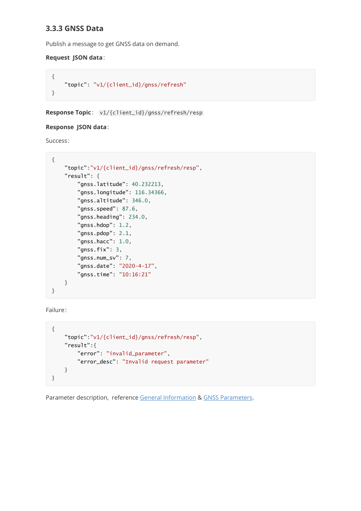## **3.3.3 GNSS Data**

Publish a message to get GNSS data on demand.

#### **Request JSON data**:

```
{
    "topic": "v1/{client_id}/gnss/refresh"
}
```
**Response Topic**: v1/{client\_id}/gnss/refresh/resp

#### **Response JSON data**:

Success:

```
{
    "topic":"v1/{client_id}/gnss/refresh/resp",
    "result": {
        "gnss.latitude": 40.232213,
        "gnss.longitude": 116.34366,
        "gnss.altitude": 346.0,
        "gnss.speed": 87.6,
        "gnss.heading": 234.0,
        "gnss.hdop": 1.2,
        "gnss.pdop": 2.1,
        "gnss.hacc": 1.0,
        "gnss.fix": 3,
        "gnss.num_sv": 7,
        "gnss.date": "2020-4-17",
        "gnss.time": "10:16:21"
    }
}
```
Failure:

```
{
    "topic":"v1/{client_id}/gnss/refresh/resp",
   "result":{
        "error": "invalid_parameter",
        "error_desc": "Invalid request parameter"
   }
}
```
Parameter description, reference [General Information](#page-4-1) & [GNSS Parameters](#page-37-1).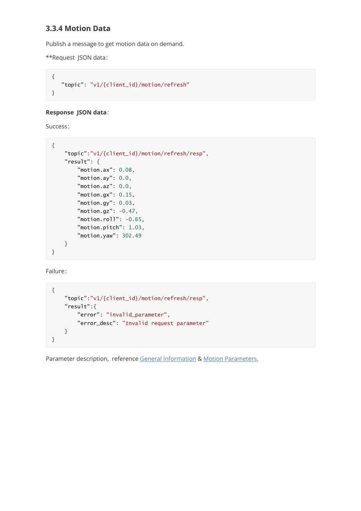## **3.3.4 Motion Data**

Publish a message to get motion data on demand.

\*\*Request JSON data:

```
{
   "topic": "v1/{client_id}/motion/refresh"
}
```
#### **Response JSON data**:

Success:

```
{
    "topic":"v1/{client_id}/motion/refresh/resp",
    "result": {
        "motion.ax": 0.08,
        "motion.ay": 0.0,
        "motion.az": 0.0,
        "motion.gx": 0.15,
        "motion.gy": 0.03,
        "motion.gz": -0.47,
        "motion.roll": -0.65,
        "motion.pitch": 1.03,
        "motion.yaw": 302.49
   }
}
```
Failure:

```
{
    "topic":"v1/{client_id}/motion/refresh/resp",
    "result":{
        "error": "invalid_parameter",
        "error_desc": "Invalid request parameter"
    }
}
```
Parameter description, reference [General Information](#page-4-1) & [Motion Parameters.](#page-38-0)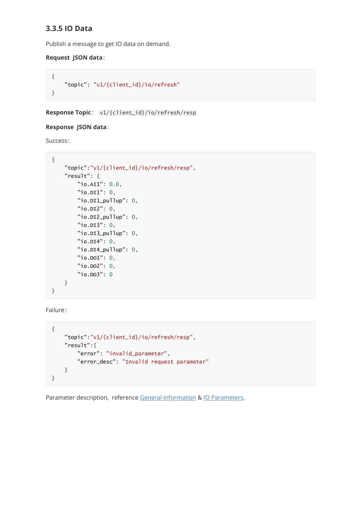## **3.3.5 IO Data**

Publish a message to get IO data on demand.

#### **Request JSON data**:

```
{
    "topic": "v1/{client_id}/io/refresh"
}
```
**Response Topic**: v1/{client\_id}/io/refresh/resp

#### **Response JSON data**:

Success:

```
{
    "topic":"v1/{client_id}/io/refresh/resp",
    "result": {
        "io.AI1": 0.0,
        "io.DI1": 0,
        "io.DI1_pullup": 0,
        "io.DI2": 0,
        "io.DI2_pullup": 0,
        "io.DI3": 0,
        "io.DI3_pullup": 0,
        "io.DI4": 0,
        "io.DI4_pullup": 0,
        "io.DO1": 0,
        "io.DO2": 0,
        "io.DO3": 0
    }
}
```
Failure:

```
{
    "topic":"v1/{client_id}/io/refresh/resp",
   "result":{
        "error": "invalid_parameter",
        "error_desc": "Invalid request parameter"
   }
}
```
Parameter description, reference [General Information](#page-4-1) & [IO Parameters](#page-39-0).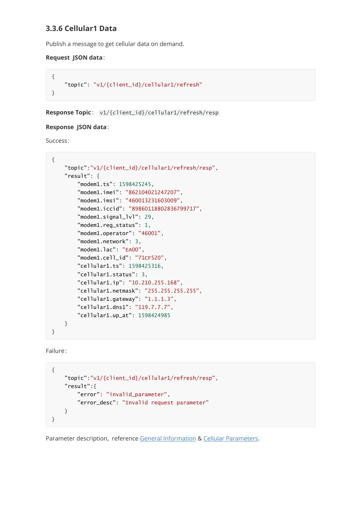## **3.3.6 Cellular1 Data**

Publish a message to get cellular data on demand.

#### **Request JSON data**:

```
{
    "topic": "v1/{client_id}/cellular1/refresh"
}
```
**Response Topic**: v1/{client\_id}/cellular1/refresh/resp

#### **Response JSON data**:

Success:

```
{
    "topic":"v1/{client_id}/cellular1/refresh/resp",
    "result": {
        "modem1.ts": 1598425245,
        "modem1.imei": "862104021247207",
        "modem1.imsi": "460013231603009",
        "modem1.iccid": "89860118802836799717",
        "modem1.signal_lvl": 29,
        "modem1.reg_status": 1,
        "modem1.operator": "46001",
        "modem1.network": 3,
        "modem1.lac": "EA00",
        "modem1.cell_id": "71CF520",
        "cellular1.ts": 1598425316,
        "cellular1.status": 3,
        "cellular1.ip": "10.210.255.168",
        "cellular1.netmask": "255.255.255.255",
        "cellular1.gateway": "1.1.1.3",
        "cellular1.dns1": "119.7.7.7",
        "cellular1.up_at": 1598424985
    }
}
```
Failure:

```
{
    "topic":"v1/{client_id}/cellular1/refresh/resp",
    "result":{
        "error": "invalid_parameter",
        "error_desc": "Invalid request parameter"
    }
}
```
Parameter description, reference [General Information](#page-4-1) & [Cellular Parameters](#page-43-0).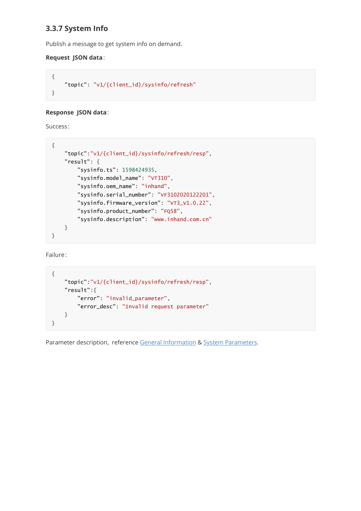## **3.3.7 System Info**

Publish a message to get system info on demand.

### **Request JSON data**:

```
{
    "topic": "v1/{client_id}/sysinfo/refresh"
}
```
### **Response JSON data**:

Success:

```
{
    "topic":"v1/{client_id}/sysinfo/refresh/resp",
    "result": {
        "sysinfo.ts": 1598424935,
        "sysinfo.model_name": "VT310",
        "sysinfo.oem_name": "inhand",
        "sysinfo.serial_number": "VF3102020122201",
        "sysinfo.firmware_version": "VT3_V1.0.22",
        "sysinfo.product_number": "FQ58",
        "sysinfo.description": "www.inhand.com.cn"
    }
}
```
Failure:

```
{
    "topic":"v1/{client_id}/sysinfo/refresh/resp",
   "result":{
        "error": "invalid_parameter",
        "error_desc": "Invalid request parameter"
   }
}
```
Parameter description, reference [General Information](#page-4-1) & [System Parameters.](#page-46-0)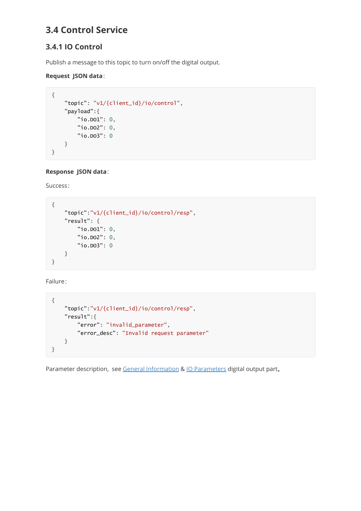## **3.4 Control Service**

## **3.4.1 IO Control**

Publish a message to this topic to turn on/off the digital output.

### **Request JSON data**:

```
{
    "topic": "v1/{client_id}/io/control",
    "payload":{
        "io.DO1": 0,
        "io.DO2": 0,
        "io.DO3": 0
   }
}
```
**Response JSON data**:

Success:

```
{
    "topic":"v1/{client_id}/io/control/resp",
    "result": {
        "io.DO1": 0,
        "io.DO2": 0,
        "io.DO3": 0
    }
}
```
Failure:

```
{
    "topic":"v1/{client_id}/io/control/resp",
    "result":{
        "error": "invalid_parameter",
        "error_desc": "Invalid request parameter"
    }
}
```
Parameter description, see [General Information](#page-4-1) & [IO Parameters](#page-39-0) digital output part.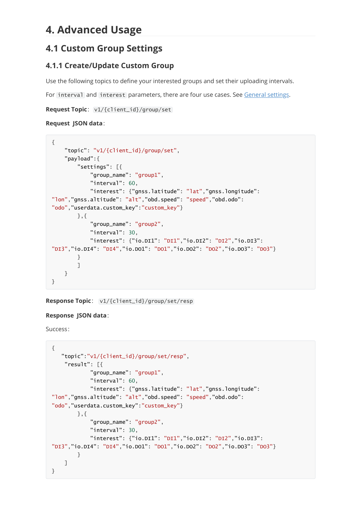## <span id="page-27-0"></span>**4. Advanced Usage**

## **4.1 Custom Group Settings**

## **4.1.1 Create/Update Custom Group**

Use the following topics to define your interested groups and set their uploading intervals.

For interval and interest parameters, there are four use cases. See [General settings.](#page-11-0)

**Request Topic**: v1/{client\_id}/group/set

### **Request JSON data**:

```
{
    "topic": "v1/{client_id}/group/set",
    "payload":{
        "settings": [{
            "group_name": "group1",
            "interval": 60,
            "interest": {"gnss.latitude": "lat","gnss.longitude":
"lon","gnss.altitude": "alt","obd.speed": "speed","obd.odo":
"odo","userdata.custom_key":"custom_key"}
        },{
            "group_name": "group2",
            "interval": 30,
            "interest": {"io.DI1": "DI1","io.DI2": "DI2","io.DI3":
"DI3","io.DI4": "DI4","io.DO1": "DO1","io.DO2": "DO2","io.DO3": "DO3"}
        }
        ]
    }
}
```
**Response Topic**: v1/{client\_id}/group/set/resp

## **Response JSON data**:

Success:

```
{
   "topic":"v1/{client_id}/group/set/resp",
    "result": [{
            "group_name": "group1",
            "interval": 60,
            "interest": {"gnss.latitude": "lat","gnss.longitude":
"lon","gnss.altitude": "alt","obd.speed": "speed","obd.odo":
"odo","userdata.custom_key":"custom_key"}
        },{
            "group_name": "group2",
            "interval": 30,
            "interest": {"io.DI1": "DI1","io.DI2": "DI2","io.DI3":
"DI3","io.DI4": "DI4","io.DO1": "DO1","io.DO2": "DO2","io.DO3": "DO3"}
        }
    ]
}
```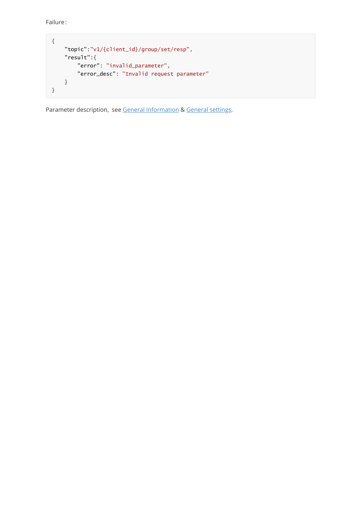Failure:

```
{
   "topic":"v1/{client_id}/group/set/resp",
    "result":{
        "error": "invalid_parameter",
        "error_desc": "Invalid request parameter"
    }
}
```
Parameter description, see [General Information](#page-4-1) & [General settings.](#page-11-0)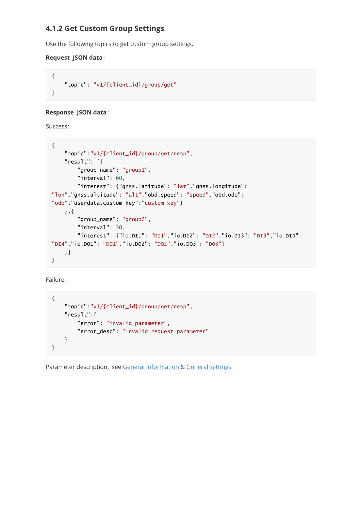## **4.1.2 Get Custom Group Settings**

Use the following topics to get custom group settings.

#### **Request JSON data**:

```
{
    "topic": "v1/{client_id}/group/get"
}
```
#### **Response JSON data**:

Success:

```
{
    "topic":"v1/{client_id}/group/get/resp",
   "result": [{
        "group_name": "group1",
        "interval": 60,
        "interest": {"gnss.latitude": "lat","gnss.longitude":
"lon","gnss.altitude": "alt","obd.speed": "speed","obd.odo":
"odo","userdata.custom_key":"custom_key"}
   },{
        "group_name": "group2",
        "interval": 30,
        "interest": {"io.DI1": "DI1","io.DI2": "DI2","io.DI3": "DI3","io.DI4":
"DI4","io.DO1": "DO1","io.DO2": "DO2","io.DO3": "DO3"}
   }]
}
```
Failure:

```
{
    "topic":"v1/{client_id}/group/get/resp",
   "result":{
        "error": "invalid_parameter",
        "error_desc": "Invalid request parameter"
   }
}
```
Parameter description, see [General Information](#page-4-1) & [General settings.](#page-11-0)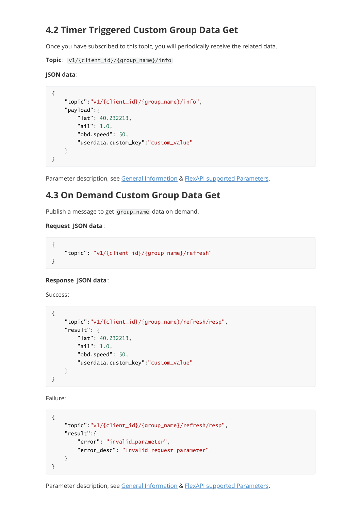## **4.2 Timer Triggered Custom Group Data Get**

Once you have subscribed to this topic, you will periodically receive the related data.

**Topic**: v1/{client\_id}/{group\_name}/info

### **JSON data**:

```
{
    "topic":"v1/{client_id}/{group_name}/info",
   "payload":{
        "lat": 40.232213,
        "ai1": 1.0,
        "obd.speed": 50,
        "userdata.custom_key":"custom_value"
   }
}
```
Parameter description, see [General Information](#page-4-1) & [FlexAPI supported Parameters](#page-37-0).

## **4.3 On Demand Custom Group Data Get**

Publish a message to get group\_name data on demand.

### **Request JSON data**:

```
{
   "topic": "v1/{client_id}/{group_name}/refresh"
}
```
## **Response JSON data**:

Success:

```
{
    "topic":"v1/{client_id}/{group_name}/refresh/resp",
    "result": {
        "lat": 40.232213,
        "ai1": 1.0,
        "obd.speed": 50,
        "userdata.custom_key":"custom_value"
    }
}
```
Failure:

```
{
    "topic":"v1/{client_id}/{group_name}/refresh/resp",
   "result":{
       "error": "invalid_parameter",
       "error_desc": "Invalid request parameter"
   }
}
```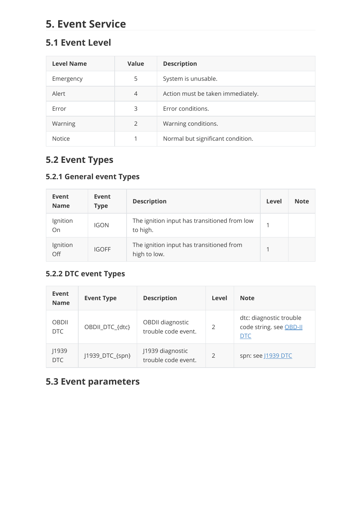# **5. Event Service**

## **5.1 Event Level**

<span id="page-31-1"></span>

| <b>Level Name</b> | Value          | <b>Description</b>                |
|-------------------|----------------|-----------------------------------|
| Emergency         | 5              | System is unusable.               |
| Alert             | $\overline{4}$ | Action must be taken immediately. |
| Frror             | 3              | Error conditions.                 |
| Warning           | 2              | Warning conditions.               |
| <b>Notice</b>     |                | Normal but significant condition. |

## <span id="page-31-0"></span>**5.2 Event Types**

## **5.2.1 General event Types**

| Event<br><b>Name</b> | Event<br><b>Type</b> | <b>Description</b>                                       | Level       | <b>Note</b> |
|----------------------|----------------------|----------------------------------------------------------|-------------|-------------|
| Ignition<br>On       | <b>IGON</b>          | The ignition input has transitioned from low<br>to high. | $\mathbf 1$ |             |
| Ignition<br>Off      | <b>IGOFF</b>         | The ignition input has transitioned from<br>high to low. | 1           |             |

## **5.2.2 DTC event Types**

| Event<br><b>Name</b> | <b>Event Type</b> | <b>Description</b>                      | Level         | <b>Note</b>                                                      |
|----------------------|-------------------|-----------------------------------------|---------------|------------------------------------------------------------------|
| <b>OBDII</b><br>DTC  | OBDII_DTC_{dtc}   | OBDII diagnostic<br>trouble code event. | $\mathcal{P}$ | dtc: diagnostic trouble<br>code string. see OBD-II<br><b>DTC</b> |
| J1939<br>DTC         | J1939_DTC_{spn}   | J1939 diagnostic<br>trouble code event. | $\mathcal{P}$ | spn: see J1939 DTC                                               |

## <span id="page-31-2"></span>**5.3 Event parameters**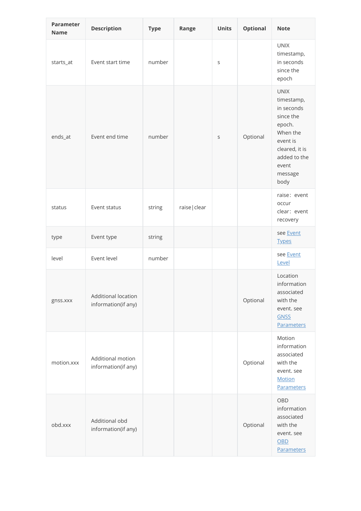| <b>Parameter</b><br><b>Name</b> | <b>Description</b>                         | <b>Type</b> | Range         | <b>Units</b> | <b>Optional</b> | <b>Note</b>                                                                                                                                          |
|---------------------------------|--------------------------------------------|-------------|---------------|--------------|-----------------|------------------------------------------------------------------------------------------------------------------------------------------------------|
| starts_at                       | Event start time                           | number      |               | S            |                 | <b>UNIX</b><br>timestamp,<br>in seconds<br>since the<br>epoch                                                                                        |
| ends_at                         | Event end time                             | number      |               | $\mathsf S$  | Optional        | <b>UNIX</b><br>timestamp,<br>in seconds<br>since the<br>epoch.<br>When the<br>event is<br>cleared, it is<br>added to the<br>event<br>message<br>body |
| status                          | Event status                               | string      | raise   clear |              |                 | raise: event<br>occur<br>clear: event<br>recovery                                                                                                    |
| type                            | Event type                                 | string      |               |              |                 | see Event<br><b>Types</b>                                                                                                                            |
| level                           | Event level                                | number      |               |              |                 | see Event<br>Level                                                                                                                                   |
| gnss.xxx                        | Additional location<br>information(if any) |             |               |              | Optional        | Location<br>information<br>associated<br>with the<br>event. see<br><b>GNSS</b><br><b>Parameters</b>                                                  |
| motion.xxx                      | Additional motion<br>information(if any)   |             |               |              | Optional        | Motion<br>information<br>associated<br>with the<br>event. see<br><b>Motion</b><br><b>Parameters</b>                                                  |
| obd.xxx                         | Additional obd<br>information(if any)      |             |               |              | Optional        | OBD<br>information<br>associated<br>with the<br>event. see<br>OBD<br><b>Parameters</b>                                                               |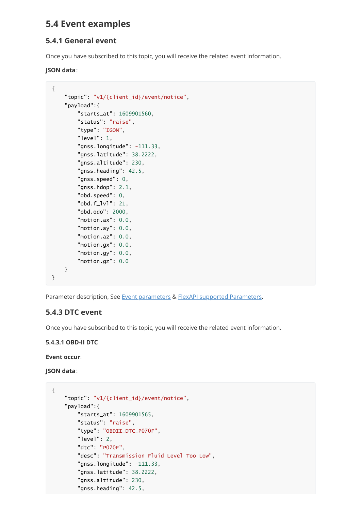## **5.4 Event examples**

## **5.4.1 General event**

Once you have subscribed to this topic, you will receive the related event information.

### **JSON data**:

```
{
    "topic": "v1/{client_id}/event/notice",
    "payload":{
        "starts_at": 1609901560,
        "status": "raise",
        "type": "IGON",
        "level": 1,
        "gnss.longitude": -111.33,
        "gnss.latitude": 38.2222,
        "gnss.altitude": 230,
        "gnss.heading": 42.5,
        "gnss.speed": 0,
        "gnss.hdop": 2.1,
        "obd.speed": 0,
        "obd.f_lvl": 21,
        "obd.odo": 2000,
        "motion.ax": 0.0,
        "motion.ay": 0.0,
        "motion.az": 0.0,
        "motion.gx": 0.0,
        "motion.gy": 0.0,
        "motion.gz": 0.0
    }
}
```
Parameter description, See [Event parameters](#page-31-2) & [FlexAPI supported Parameters.](#page-37-0)

## **5.4.3 DTC event**

Once you have subscribed to this topic, you will receive the related event information.

## <span id="page-33-0"></span>**5.4.3.1 OBD-II DTC**

## **Event occur**:

**JSON data**:

```
{
    "topic": "v1/{client_id}/event/notice",
    "payload":{
        "starts_at": 1609901565,
        "status": "raise",
        "type": "OBDII_DTC_P070F",
        "level": 2,
        "dtc": "P070F",
        "desc": "Transmission Fluid Level Too Low",
        "gnss.longitude": -111.33,
        "gnss.latitude": 38.2222,
        "gnss.altitude": 230,
        "gnss.heading": 42.5,
```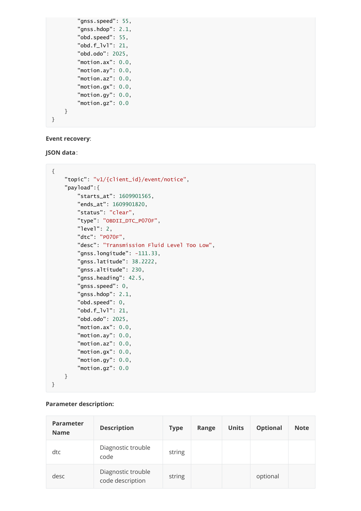```
"gnss.speed": 55,
        "gnss.hdop": 2.1,
        "obd.speed": 55,
        "obd.f_lvl": 21,
        "obd.odo": 2025,
        "motion.ax": 0.0,
        "motion.ay": 0.0,
        "motion.az": 0.0,
        "motion.gx": 0.0,
        "motion.gy": 0.0,
        "motion.gz": 0.0
    }
}
```
#### **Event recovery**:

**JSON data**:

```
{
    "topic": "v1/{client_id}/event/notice",
    "payload":{
        "starts_at": 1609901565,
        "ends_at": 1609901820,
        "status": "clear",
        "type": "OBDII_DTC_P070F",
        "level": 2,
        "dtc": "P070F",
        "desc": "Transmission Fluid Level Too Low",
        "gnss.longitude": -111.33,
        "gnss.latitude": 38.2222,
        "gnss.altitude": 230,
        "gnss.heading": 42.5,
        "gnss.speed": 0,
        "gnss.hdop": 2.1,
        "obd.speed": 0,
        "obd.f_lvl": 21,
        "obd.odo": 2025,
        "motion.ax": 0.0,
        "motion.ay": 0.0,
        "motion.az": 0.0,
        "motion.gx": 0.0,
        "motion.gy": 0.0,
        "motion.gz": 0.0
    }
}
```
#### **Parameter description:**

| <b>Parameter</b><br><b>Name</b> | <b>Description</b>                     | <b>Type</b> | Range | <b>Units</b> | <b>Optional</b> | <b>Note</b> |
|---------------------------------|----------------------------------------|-------------|-------|--------------|-----------------|-------------|
| dtc                             | Diagnostic trouble<br>code             | string      |       |              |                 |             |
| desc                            | Diagnostic trouble<br>code description | string      |       |              | optional        |             |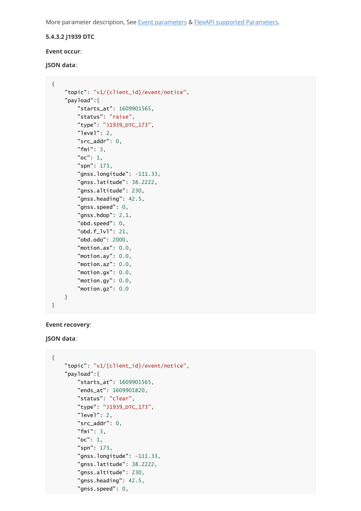More parameter description, See [Event parameters](#page-31-2) & [FlexAPI supported Parameters.](#page-37-0)

#### <span id="page-35-0"></span>**5.4.3.2 J1939 DTC**

#### **Event occur**:

#### **JSON data**:

```
{
    "topic": "v1/{client_id}/event/notice",
    "payload":{
        "starts_at": 1609901565,
        "status": "raise",
        "type": "J1939_DTC_173",
        "level": 2,
        "src_addr": 0,
        "fmi": 3,
        "oc": 1,
        "spn": 173,
        "gnss.longitude": -111.33,
        "gnss.latitude": 38.2222,
        "gnss.altitude": 230,
        "gnss.heading": 42.5,
        "gnss.speed": 0,
        "gnss.hdop": 2.1,
        "obd.speed": 0,
        "obd.f_lvl": 21,
        "obd.odo": 2000,
        "motion.ax": 0.0,
        "motion.ay": 0.0,
        "motion.az": 0.0,
        "motion.gx": 0.0,
        "motion.gy": 0.0,
        "motion.gz": 0.0
    }
}
```
#### **Event recovery**:

#### **JSON data**:

```
{
    "topic": "v1/{client_id}/event/notice",
    "payload":{
        "starts_at": 1609901565,
        "ends_at": 1609901820,
        "status": "clear",
        "type": "J1939_DTC_173",
        "level": 2,
        "src_addr": 0,
        "fmi": 3,
        "oc": 1,
        "spn": 173,
        "gnss.longitude": -111.33,
        "gnss.latitude": 38.2222,
        "gnss.altitude": 230,
        "gnss.heading": 42.5,
        "gnss.speed": 0,
```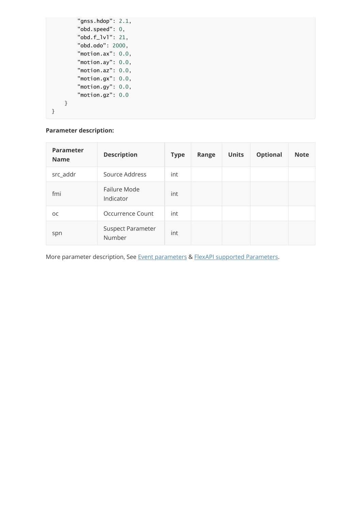```
"gnss.hdop": 2.1,
        "obd.speed": 0,
        "obd.f_lvl": 21,
        "obd.odo": 2000,
        "motion.ax": 0.0,
        "motion.ay": 0.0,
        "motion.az": 0.0,
        "motion.gx": 0.0,
       "motion.gy": 0.0,
       "motion.gz": 0.0
   }
}
```
## **Parameter description:**

| <b>Parameter</b><br><b>Name</b> | <b>Description</b>                 | <b>Type</b> | Range | <b>Units</b> | <b>Optional</b> | <b>Note</b> |
|---------------------------------|------------------------------------|-------------|-------|--------------|-----------------|-------------|
| src_addr                        | Source Address                     | int         |       |              |                 |             |
| fmi                             | Failure Mode<br>Indicator          | int         |       |              |                 |             |
| <b>OC</b>                       | Occurrence Count                   | int         |       |              |                 |             |
| spn                             | <b>Suspect Parameter</b><br>Number | int         |       |              |                 |             |

More parameter description, See [Event parameters](#page-31-2) & [FlexAPI supported Parameters.](#page-37-0)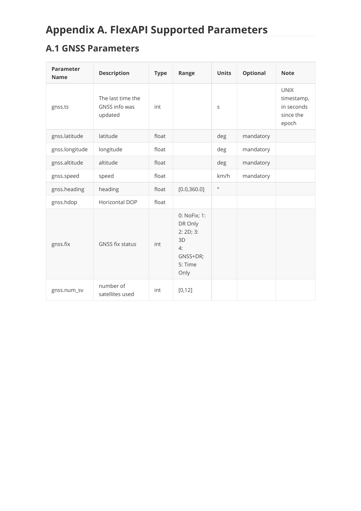# <span id="page-37-0"></span>**Appendix A. FlexAPI Supported Parameters**

## <span id="page-37-1"></span>**A.1 GNSS Parameters**

| <b>Parameter</b><br><b>Name</b> | <b>Description</b>                            | <b>Type</b> | Range                                                                           | <b>Units</b> | <b>Optional</b> | <b>Note</b>                                                   |
|---------------------------------|-----------------------------------------------|-------------|---------------------------------------------------------------------------------|--------------|-----------------|---------------------------------------------------------------|
| gnss.ts                         | The last time the<br>GNSS info was<br>updated | int         |                                                                                 | S            |                 | <b>UNIX</b><br>timestamp,<br>in seconds<br>since the<br>epoch |
| gnss.latitude                   | latitude                                      | float       |                                                                                 | deg          | mandatory       |                                                               |
| gnss.longitude                  | longitude                                     | float       |                                                                                 | deg          | mandatory       |                                                               |
| gnss.altitude                   | altitude                                      | float       |                                                                                 | deg          | mandatory       |                                                               |
| gnss.speed                      | speed                                         | float       |                                                                                 | km/h         | mandatory       |                                                               |
| gnss.heading                    | heading                                       | float       | [0.0, 360.0]                                                                    | $\circ$      |                 |                                                               |
| gnss.hdop                       | Horizontal DOP                                | float       |                                                                                 |              |                 |                                                               |
| gnss.fix                        | <b>GNSS fix status</b>                        | int         | 0: NoFix; 1:<br>DR Only<br>2: 2D; 3:<br>3D<br>4:<br>GNSS+DR;<br>5: Time<br>Only |              |                 |                                                               |
| gnss.num_sv                     | number of<br>satellites used                  | int         | [0, 12]                                                                         |              |                 |                                                               |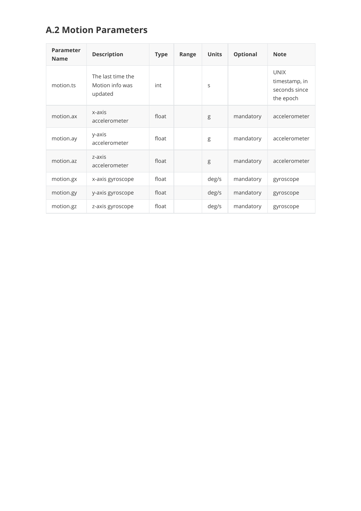## **A.2 Motion Parameters**

<span id="page-38-0"></span>

| <b>Parameter</b><br><b>Name</b> | <b>Description</b>                              | <b>Type</b> | Range | <b>Units</b> | <b>Optional</b> | <b>Note</b>                                                |
|---------------------------------|-------------------------------------------------|-------------|-------|--------------|-----------------|------------------------------------------------------------|
| motion.ts                       | The last time the<br>Motion info was<br>updated | int         |       | S            |                 | <b>UNIX</b><br>timestamp, in<br>seconds since<br>the epoch |
| motion.ax                       | x-axis<br>accelerometer                         | float       |       | g            | mandatory       | accelerometer                                              |
| motion.ay                       | y-axis<br>accelerometer                         | float       |       | g            | mandatory       | accelerometer                                              |
| motion.az                       | z-axis<br>accelerometer                         | float       |       | g            | mandatory       | accelerometer                                              |
| motion.gx                       | x-axis gyroscope                                | float       |       | deg/s        | mandatory       | gyroscope                                                  |
| motion.gy                       | y-axis gyroscope                                | float       |       | deg/s        | mandatory       | gyroscope                                                  |
| motion.gz                       | z-axis gyroscope                                | float       |       | deg/s        | mandatory       | gyroscope                                                  |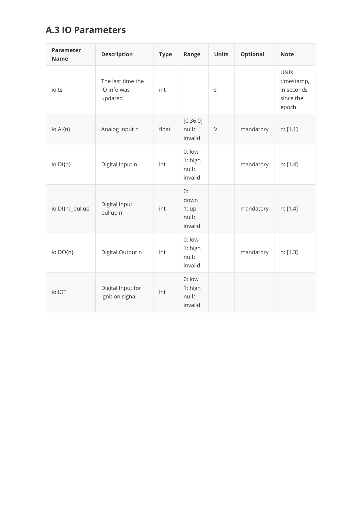## **A.3 IO Parameters**

<span id="page-39-0"></span>

| <b>Parameter</b><br><b>Name</b> | <b>Description</b>                          | <b>Type</b> | Range                                  | <b>Units</b> | <b>Optional</b> | <b>Note</b>                                                   |
|---------------------------------|---------------------------------------------|-------------|----------------------------------------|--------------|-----------------|---------------------------------------------------------------|
| jo.ts                           | The last time the<br>IO info was<br>updated | int         |                                        | S            |                 | <b>UNIX</b><br>timestamp,<br>in seconds<br>since the<br>epoch |
| io.Al{n}                        | Analog Input n                              | float       | [0, 36.0]<br>null:<br>invalid          | $\vee$       | mandatory       | n: [1,1]                                                      |
| io.DI{n}                        | Digital Input n                             | int         | 0: low<br>1: high<br>null:<br>invalid  |              | mandatory       | n: [1,4]                                                      |
| io.DI{n}_pullup                 | Digital Input<br>pullup n                   | int         | 0:<br>down<br>1:up<br>null:<br>invalid |              | mandatory       | n: [1,4]                                                      |
| io.DO{n}                        | Digital Output n                            | int         | 0: low<br>1: high<br>null:<br>invalid  |              | mandatory       | n: [1,3]                                                      |
| io.IGT                          | Digital Input for<br>ignition signal        | int         | 0: low<br>1: high<br>null:<br>invalid  |              |                 |                                                               |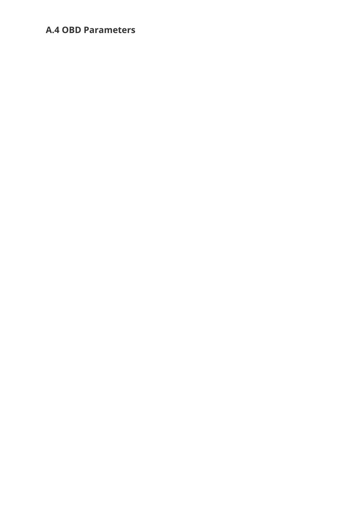## <span id="page-40-0"></span>**A.4 OBD Parameters**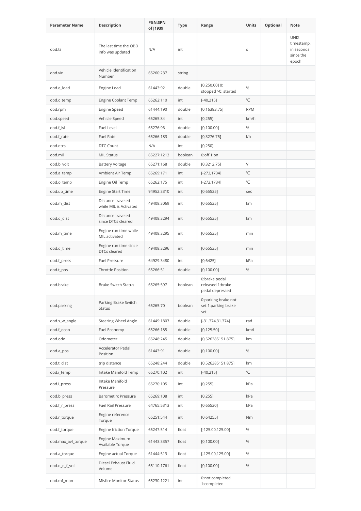| <b>Parameter Name</b> | Description                                  | <b>PGN:SPN</b><br>of J1939 | Type    | Range                                                | <b>Units</b> | Optional | Note                                                          |
|-----------------------|----------------------------------------------|----------------------------|---------|------------------------------------------------------|--------------|----------|---------------------------------------------------------------|
| obd.ts                | The last time the OBD<br>info was updated    | N/A                        | int     |                                                      | $\sf S$      |          | <b>UNIX</b><br>timestamp,<br>in seconds<br>since the<br>epoch |
| obd.vin               | Vehicle Identification<br>Number             | 65260:237                  | string  |                                                      |              |          |                                                               |
| obd.e_load            | Engine Load                                  | 61443:92                   | double  | $[0,250.00]$ 0:<br>stopped >0: started               | %            |          |                                                               |
| obd.c_temp            | Engine Coolant Temp                          | 65262:110                  | int     | $[-40, 215]$                                         | °C           |          |                                                               |
| obd.rpm               | <b>Engine Speed</b>                          | 61444:190                  | double  | [0, 16383.75]                                        | <b>RPM</b>   |          |                                                               |
| obd.speed             | Vehicle Speed                                | 65265:84                   | int     | [0, 255]                                             | km/h         |          |                                                               |
| obd.f_lvl             | Fuel Level                                   | 65276:96                   | double  | [0,100.00]                                           | %            |          |                                                               |
| obd.f_rate            | <b>Fuel Rate</b>                             | 65266:183                  | double  | [0,3276.75]                                          | 1/h          |          |                                                               |
| obd.dtcs              | DTC Count                                    | N/A                        | int     | [0,250]                                              |              |          |                                                               |
| obd.mil               | <b>MIL Status</b>                            | 65227:1213                 | boolean | 0:off 1:on                                           |              |          |                                                               |
| obd.b_volt            | <b>Battery Voltage</b>                       | 65271:168                  | double  | [0,3212.75]                                          | $\vee$       |          |                                                               |
| obd.a_temp            | Ambient Air Temp                             | 65269:171                  | int     | $[-273, 1734]$                                       | °C           |          |                                                               |
| obd.o_temp            | Engine Oil Temp                              | 65262:175                  | int     | $[-273, 1734]$                                       | °C           |          |                                                               |
| obd.up_time           | <b>Engine Start Time</b>                     | 94952:3310                 | int     | [0,65535]                                            | sec          |          |                                                               |
| obd.m_dist            | Distance traveled<br>while MIL is Activated  | 49408:3069                 | int     | [0,65535]                                            | km           |          |                                                               |
| obd.d_dist            | Distance traveled<br>since DTCs cleared      | 49408:3294                 | int     | [0,65535]                                            | km           |          |                                                               |
| obd.m_time            | Engine run time while<br>MIL activated       | 49408:3295                 | int     | [0,65535]                                            | min          |          |                                                               |
| obd.d_time            | Engine run time since<br><b>DTCs cleared</b> | 49408:3296                 | int     | [0,65535]                                            | min          |          |                                                               |
| obd.f_press           | Fuel Pressure                                | 64929:3480                 | int     | [0,6425]                                             | kPa          |          |                                                               |
| obd.t_pos             | <b>Throttle Position</b>                     | 65266:51                   | double  | [0,100.00]                                           | %            |          |                                                               |
| obd.brake             | <b>Brake Switch Status</b>                   | 65265:597                  | boolean | 0:brake pedal<br>released 1:brake<br>pedal depressed |              |          |                                                               |
| obd.parking           | Parking Brake Switch<br><b>Status</b>        | 65265:70                   | boolean | 0:parking brake not<br>set 1:parking brake<br>set    |              |          |                                                               |
| obd.s_w_angle         | <b>Steering Wheel Angle</b>                  | 61449:1807                 | double  | $[-31.374, 31.374]$                                  | rad          |          |                                                               |
| obd.f_econ            | Fuel Economy                                 | 65266:185                  | double  | [0, 125.50]                                          | km/L         |          |                                                               |
| obd.odo               | Odometer                                     | 65248:245                  | double  | [0,526385151.875]                                    | km           |          |                                                               |
| obd.a_pos             | <b>Accelerator Pedal</b><br>Position         | 61443:91                   | double  | [0,100.00]                                           | $\%$         |          |                                                               |
| obd.t_dist            | trip distance                                | 65248:244                  | double  | [0,526385151.875]                                    | km           |          |                                                               |
| obd.i_temp            | Intake Manifold Temp                         | 65270:102                  | int     | $[-40, 215]$                                         | °C           |          |                                                               |
| obd.i_press           | Intake Manifold<br>Pressure                  | 65270:105                  | int     | [0, 255]                                             | kPa          |          |                                                               |
| obd.b_press           | <b>Barometirc Pressure</b>                   | 65269:108                  | int     | [0, 255]                                             | kPa          |          |                                                               |
| obd.f_r_press         | <b>Fuel Rail Pressure</b>                    | 64765:5313                 | int     | [0,65530]                                            | kPa          |          |                                                               |
| obd.r_torque          | Engine reference<br>Torque                   | 65251:544                  | int     | [0,64255]                                            | Nm           |          |                                                               |
| obd.f_torque          | Engine friction Torque                       | 65247:514                  | float   | $[-125.00, 125.00]$                                  | $\%$         |          |                                                               |
| obd.max_avl_torque    | Engine Maximum<br>Available Torque           | 61443:3357                 | float   | [0,100.00]                                           | %            |          |                                                               |
| obd.a_torque          | Engine actual Torque                         | 61444:513                  | float   | $[-125.00, 125.00]$                                  | %            |          |                                                               |
| obd.d_e_f_vol         | Diesel Exhaust Fluid<br>Volume               | 65110:1761                 | float   | [0,100.00]                                           | $\%$         |          |                                                               |
| obd.mf_mon            | Misfire Monitor Status                       | 65230:1221                 | int     | 0:not completed<br>1:completed                       |              |          |                                                               |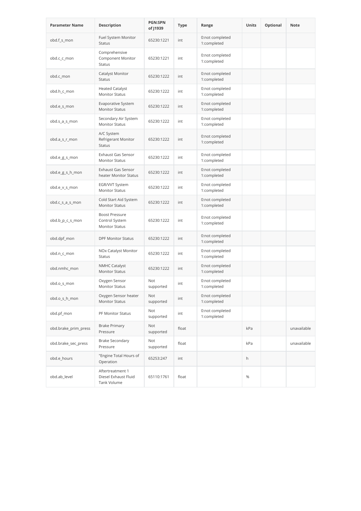| <b>Parameter Name</b> | <b>Description</b>                                               | <b>PGN:SPN</b><br>of J1939 | Type  | Range                          | <b>Units</b> | Optional | <b>Note</b> |
|-----------------------|------------------------------------------------------------------|----------------------------|-------|--------------------------------|--------------|----------|-------------|
| obd.f_s_mon           | Fuel System Monitor<br><b>Status</b>                             | 65230:1221                 | int   | 0:not completed<br>1:completed |              |          |             |
| obd.c_c_mon           | Comprehensive<br>Component Monitor<br><b>Status</b>              | 65230:1221                 | int   | 0:not completed<br>1:completed |              |          |             |
| obd.c_mon             | Catalyst Monitor<br><b>Status</b>                                | 65230:1222                 | int   | 0:not completed<br>1:completed |              |          |             |
| obd.h_c_mon           | <b>Heated Catalyst</b><br><b>Monitor Status</b>                  | 65230:1222                 | int   | 0:not completed<br>1:completed |              |          |             |
| obd.e_s_mon           | Evaporative System<br><b>Monitor Status</b>                      | 65230:1222                 | int   | 0:not completed<br>1:completed |              |          |             |
| obd.s_a_s_mon         | Secondary Air System<br><b>Monitor Status</b>                    | 65230:1222                 | int   | 0:not completed<br>1:completed |              |          |             |
| obd.a_s_r_mon         | A/C System<br>Refrigerant Monitor<br><b>Status</b>               | 65230:1222                 | int   | 0:not completed<br>1:completed |              |          |             |
| obd.e_g_s_mon         | Exhaust Gas Sensor<br><b>Monitor Status</b>                      | 65230:1222                 | int   | 0:not completed<br>1:completed |              |          |             |
| obd.e_g_s_h_mon       | <b>Exhaust Gas Sensor</b><br>heater Monitor Status               | 65230:1222                 | int   | 0:not completed<br>1:completed |              |          |             |
| obd.e_v_s_mon         | EGR/VVT System<br><b>Monitor Status</b>                          | 65230:1222                 | int   | 0:not completed<br>1:completed |              |          |             |
| obd.c_s_a_s_mon       | Cold Start Aid System<br><b>Monitor Status</b>                   | 65230:1222                 | int   | 0:not completed<br>1:completed |              |          |             |
| obd.b_p_c_s_mon       | <b>Boost Pressure</b><br>Control System<br><b>Monitor Status</b> | 65230:1222                 | int   | 0:not completed<br>1:completed |              |          |             |
| obd.dpf_mon           | <b>DPF Monitor Status</b>                                        | 65230:1222                 | int   | 0:not completed<br>1:completed |              |          |             |
| obd.n_c_mon           | NOx Catalyst Monitor<br>Status                                   | 65230:1222                 | int   | 0:not completed<br>1:completed |              |          |             |
| obd.nmhc_mon          | <b>NMHC Catalyst</b><br><b>Monitor Status</b>                    | 65230:1222                 | int   | 0:not completed<br>1:completed |              |          |             |
| obd.o_s_mon           | Oxygen Sensor<br><b>Monitor Status</b>                           | Not<br>supported           | int   | 0:not completed<br>1:completed |              |          |             |
| obd.o_s_h_mon         | Oxygen Sensor heater<br><b>Monitor Status</b>                    | Not<br>supported           | int   | 0:not completed<br>1:completed |              |          |             |
| obd.pf_mon            | PF Monitor Status                                                | Not<br>supported           | int   | 0:not completed<br>1:completed |              |          |             |
| obd.brake_prim_press  | <b>Brake Primary</b><br>Pressure                                 | Not<br>supported           | float |                                | kPa          |          | unavailable |
| obd.brake_sec_press   | <b>Brake Secondary</b><br>Pressure                               | Not<br>supported           | float |                                | kPa          |          | unavailable |
| obd.e hours           | "Engine Total Hours of<br>Operation                              | 65253:247                  | int   |                                | h            |          |             |
| obd.ab_level          | Aftertreatment 1<br>Diesel Exhaust Fluid<br>Tank Volume          | 65110:1761                 | float |                                | $\%$         |          |             |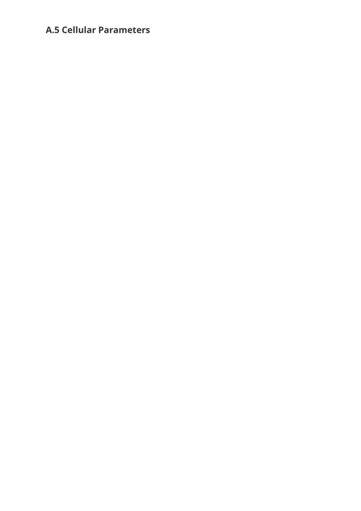## <span id="page-43-0"></span>**A.5 Cellular Parameters**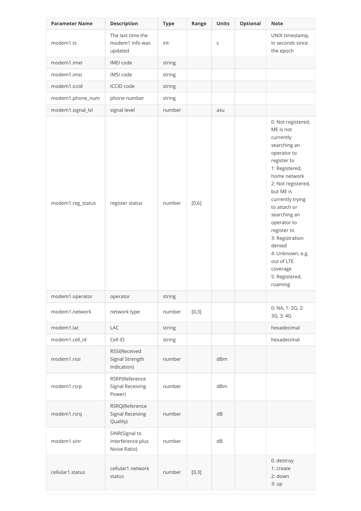| <b>Parameter Name</b> | <b>Description</b>                                    | <b>Type</b> | Range | <b>Units</b> | <b>Optional</b> | <b>Note</b>                                                                                                                                                                                                                                                                                                                                               |
|-----------------------|-------------------------------------------------------|-------------|-------|--------------|-----------------|-----------------------------------------------------------------------------------------------------------------------------------------------------------------------------------------------------------------------------------------------------------------------------------------------------------------------------------------------------------|
| modem1.ts             | The last time the<br>modem1 info was<br>updated       | int         |       | $\mathsf S$  |                 | UNIX timestamp,<br>in seconds since<br>the epoch                                                                                                                                                                                                                                                                                                          |
| modem1.imei           | IMEI code                                             | string      |       |              |                 |                                                                                                                                                                                                                                                                                                                                                           |
| modem1.imsi           | IMSI code                                             | string      |       |              |                 |                                                                                                                                                                                                                                                                                                                                                           |
| modem1.iccid          | <b>ICCID</b> code                                     | string      |       |              |                 |                                                                                                                                                                                                                                                                                                                                                           |
| modem1.phone_num      | phone number                                          | string      |       |              |                 |                                                                                                                                                                                                                                                                                                                                                           |
| modem1.signal_lvl     | signal level                                          | number      |       | asu          |                 |                                                                                                                                                                                                                                                                                                                                                           |
| modem1.reg_status     | register status                                       | number      | [0,6] |              |                 | 0: Not registered,<br>ME is not<br>currently<br>searching an<br>operator to<br>register to<br>1: Registered,<br>home network<br>2: Not registered,<br>but ME is<br>currently trying<br>to attach or<br>searching an<br>operator to<br>register to<br>3: Registration<br>denied<br>4: Unknown, e.g.<br>out of LTE<br>coverage<br>5: Registered,<br>roaming |
| modem1.operator       | operator                                              | string      |       |              |                 |                                                                                                                                                                                                                                                                                                                                                           |
| modem1.network        | network type                                          | number      | [0,3] |              |                 | 0: NA, 1: 2G, 2:<br>3G, 3:4G                                                                                                                                                                                                                                                                                                                              |
| modem1.lac            | <b>LAC</b>                                            | string      |       |              |                 | hexadecimal                                                                                                                                                                                                                                                                                                                                               |
| modem1.cell_id        | Cell ID                                               | string      |       |              |                 | hexadecimal                                                                                                                                                                                                                                                                                                                                               |
| modem1.rssi           | RSSI(Received<br>Signal Strength<br>Indication)       | number      |       | dBm          |                 |                                                                                                                                                                                                                                                                                                                                                           |
| modem1.rsrp           | RSRP(Reference<br>Signal Receiving<br>Power)          | number      |       | dBm          |                 |                                                                                                                                                                                                                                                                                                                                                           |
| modem1.rsrq           | RSRQ(Reference<br><b>Signal Receiving</b><br>Quality) | number      |       | dB           |                 |                                                                                                                                                                                                                                                                                                                                                           |
| modem1.sinr           | SINR(Signal to<br>Interference plus<br>Noise Ratio)   | number      |       | dB           |                 |                                                                                                                                                                                                                                                                                                                                                           |
| cellular1.status      | cellular1 network<br>status                           | number      | [0,3] |              |                 | 0: destroy<br>1: create<br>2: down<br>3:up                                                                                                                                                                                                                                                                                                                |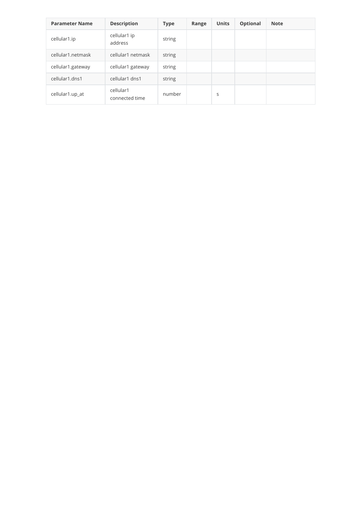| <b>Parameter Name</b> | <b>Description</b>          | <b>Type</b> | Range | <b>Units</b> | <b>Optional</b> | <b>Note</b> |
|-----------------------|-----------------------------|-------------|-------|--------------|-----------------|-------------|
| cellular1.ip          | cellular1 ip<br>address     | string      |       |              |                 |             |
| cellular1.netmask     | cellular1 netmask           | string      |       |              |                 |             |
| cellular1.gateway     | cellular1 gateway           | string      |       |              |                 |             |
| cellular1.dns1        | cellular1 dns1              | string      |       |              |                 |             |
| cellular1.up_at       | cellular1<br>connected time | number      |       | S            |                 |             |